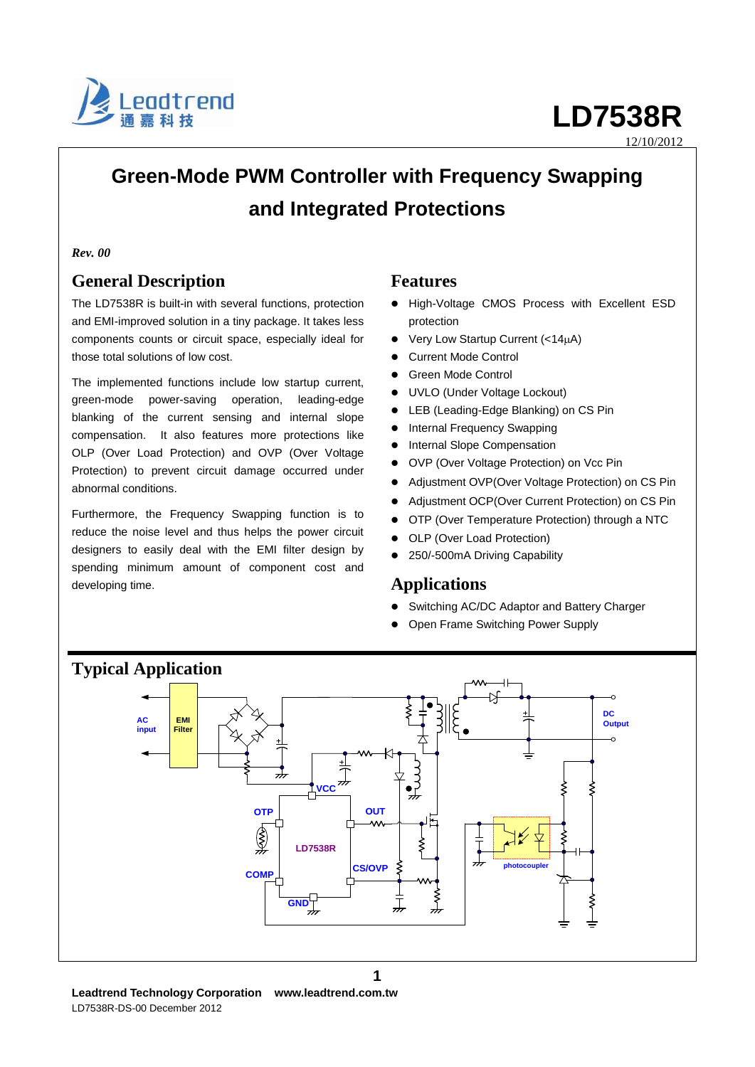

12/10/2012

## **Green-Mode PWM Controller with Frequency Swapping and Integrated Protections**

#### *Rev. 00*

### **General Description**

The LD7538R is built-in with several functions, protection and EMI-improved solution in a tiny package. It takes less components counts or circuit space, especially ideal for those total solutions of low cost.

The implemented functions include low startup current, green-mode power-saving operation, leading-edge blanking of the current sensing and internal slope compensation. It also features more protections like OLP (Over Load Protection) and OVP (Over Voltage Protection) to prevent circuit damage occurred under abnormal conditions.

Furthermore, the Frequency Swapping function is to reduce the noise level and thus helps the power circuit designers to easily deal with the EMI filter design by spending minimum amount of component cost and developing time.

#### **Features**

- High-Voltage CMOS Process with Excellent ESD protection
- Very Low Startup Current (<14A)
- Current Mode Control
- **•** Green Mode Control
- UVLO (Under Voltage Lockout)
- LEB (Leading-Edge Blanking) on CS Pin
- Internal Frequency Swapping
- **•** Internal Slope Compensation
- OVP (Over Voltage Protection) on Vcc Pin
- Adjustment OVP(Over Voltage Protection) on CS Pin
- Adjustment OCP(Over Current Protection) on CS Pin
- OTP (Over Temperature Protection) through a NTC
- OLP (Over Load Protection)
- 250/-500mA Driving Capability

#### **Applications**

- Switching AC/DC Adaptor and Battery Charger
- Open Frame Switching Power Supply



**1**

### **Typical Application**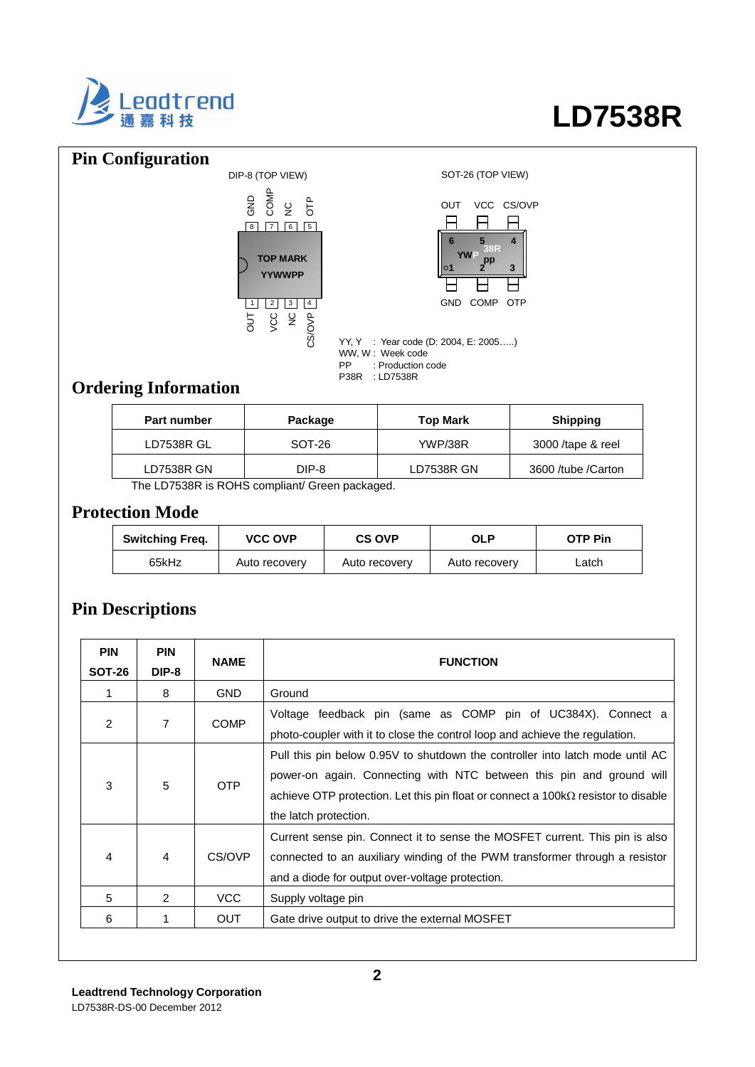

### **Pin Configuration**





YY, Y : Year code (D: 2004, E: 2005…..) WW, W : Week code PP : Production code P38R : LD7538R

## **Ordering Information**

| <b>Part number</b> | Package                                       | <b>Top Mark</b>   | <b>Shipping</b>     |
|--------------------|-----------------------------------------------|-------------------|---------------------|
| <b>LD7538R GL</b>  | SOT-26                                        | YWP/38R           | 3000 /tape & reel   |
| LD7538R GN         | DIP-8                                         | <b>LD7538R GN</b> | 3600 /tube / Carton |
|                    | The LD7538R is ROHS compliant/ Green packaged |                   |                     |

The LD7538R is ROHS compliant/ Green packaged.

#### **Protection Mode**

| <b>Switching Freq.</b> | <b>VCC OVP</b> | <b>CS OVP</b> | <b>OLP</b>    | OTP Pin |
|------------------------|----------------|---------------|---------------|---------|
| 65kHz                  | Auto recovery  | Auto recovery | Auto recovery | Latch   |

### **Pin Descriptions**

| <b>PIN</b><br><b>SOT-26</b> | <b>PIN</b><br>DIP-8 | <b>NAME</b> | <b>FUNCTION</b>                                                                                                                                                                                                                                                            |
|-----------------------------|---------------------|-------------|----------------------------------------------------------------------------------------------------------------------------------------------------------------------------------------------------------------------------------------------------------------------------|
|                             | 8                   | <b>GND</b>  | Ground                                                                                                                                                                                                                                                                     |
| 2                           | 7                   | <b>COMP</b> | Voltage feedback pin (same as COMP pin of UC384X). Connect a<br>photo-coupler with it to close the control loop and achieve the regulation.                                                                                                                                |
| 3                           | 5                   | OTP         | Pull this pin below 0.95V to shutdown the controller into latch mode until AC<br>power-on again. Connecting with NTC between this pin and ground will<br>achieve OTP protection. Let this pin float or connect a $100k\Omega$ resistor to disable<br>the latch protection. |
| 4                           | 4                   | CS/OVP      | Current sense pin. Connect it to sense the MOSFET current. This pin is also<br>connected to an auxiliary winding of the PWM transformer through a resistor<br>and a diode for output over-voltage protection.                                                              |
| 5                           | $\mathcal{P}$       | <b>VCC</b>  | Supply voltage pin                                                                                                                                                                                                                                                         |
| 6                           | 1                   | <b>OUT</b>  | Gate drive output to drive the external MOSFET                                                                                                                                                                                                                             |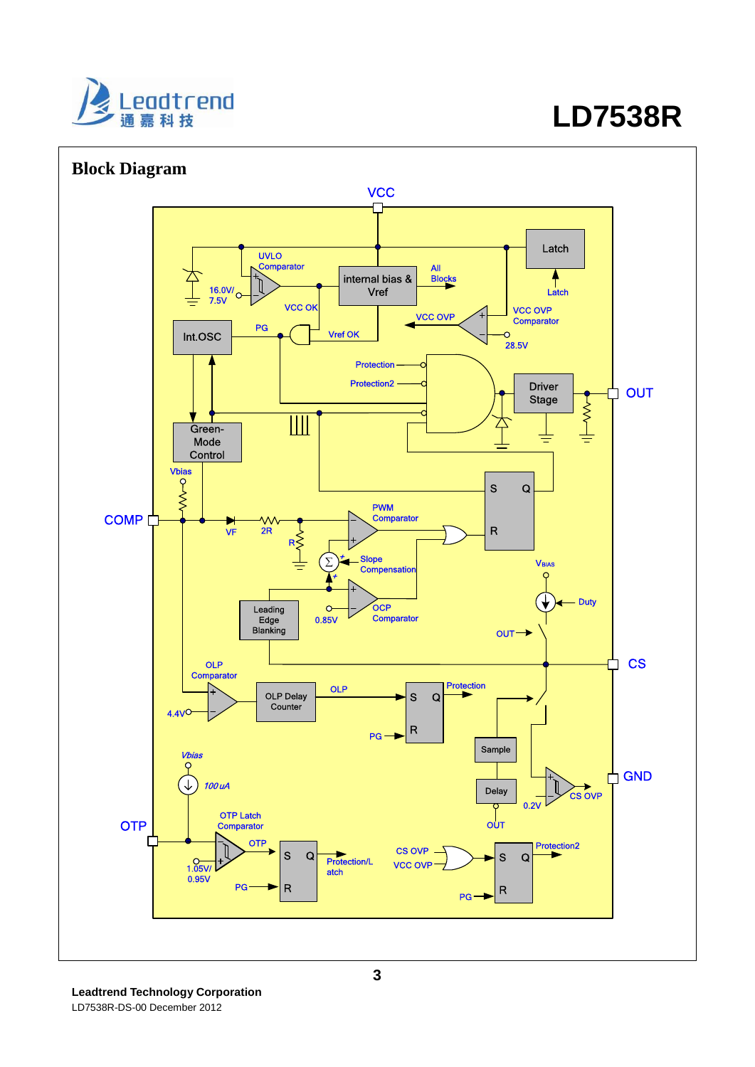



**Leadtrend Technology Corporation**  LD7538R-DS-00 December 2012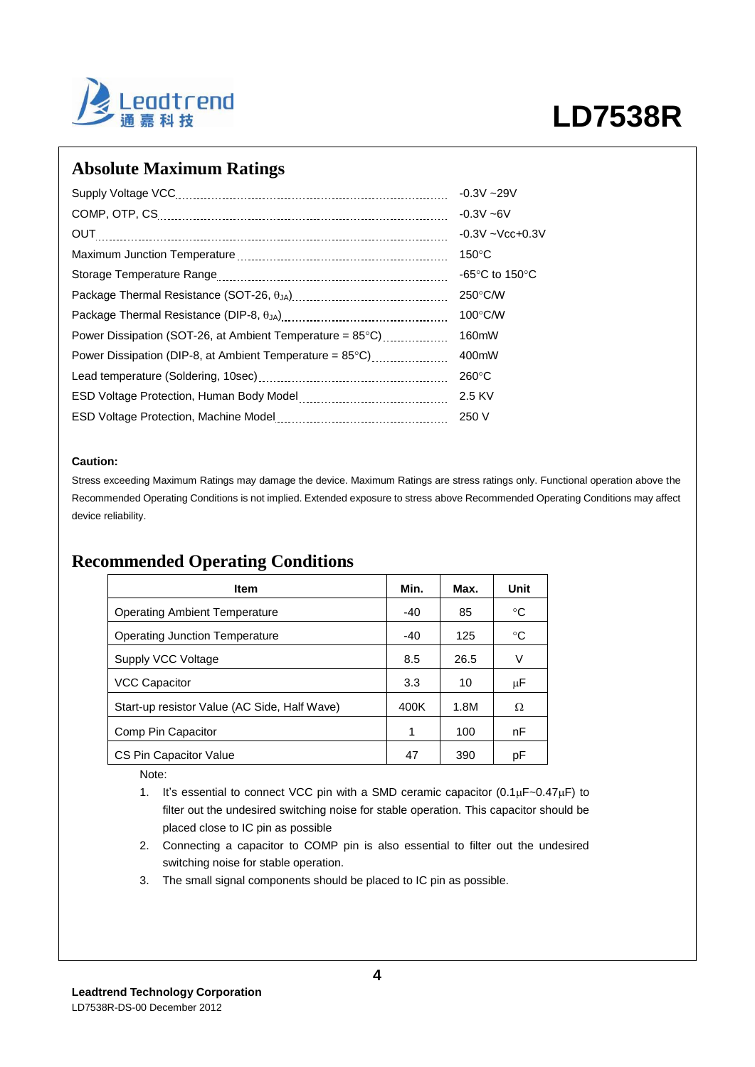

### **Absolute Maximum Ratings**

|                                                                    | $-0.3V - 29V$                      |
|--------------------------------------------------------------------|------------------------------------|
|                                                                    | $-0.3V - 6V$                       |
| OUT                                                                | $-0.3V - Vcc + 0.3V$               |
|                                                                    | $150^{\circ}$ C                    |
|                                                                    | -65 $\degree$ C to 150 $\degree$ C |
|                                                                    | $250^{\circ}$ C/W                  |
|                                                                    | $100^{\circ}$ C/W                  |
| Power Dissipation (SOT-26, at Ambient Temperature = 85°C)          | 160mW                              |
| Power Dissipation (DIP-8, at Ambient Temperature = $85^{\circ}$ C) | 400mW                              |
|                                                                    | $260^{\circ}$ C                    |
|                                                                    | 2.5 KV                             |
|                                                                    | 250 V                              |

#### **Caution:**

Stress exceeding Maximum Ratings may damage the device. Maximum Ratings are stress ratings only. Functional operation above the Recommended Operating Conditions is not implied. Extended exposure to stress above Recommended Operating Conditions may affect device reliability.

#### **Recommended Operating Conditions**

| <b>Item</b>                                  | Min.  | Max. | Unit    |
|----------------------------------------------|-------|------|---------|
| <b>Operating Ambient Temperature</b>         | $-40$ | 85   | °C      |
| Operating Junction Temperature               | -40   | 125  | °C      |
| Supply VCC Voltage                           | 8.5   | 26.5 | V       |
| <b>VCC Capacitor</b>                         | 3.3   | 10   | $\mu$ F |
| Start-up resistor Value (AC Side, Half Wave) | 400K  | 1.8M | Ω       |
| Comp Pin Capacitor                           | 1     | 100  | nF      |
| CS Pin Capacitor Value                       | 47    | 390  | рF      |

Note:

1. It's essential to connect VCC pin with a SMD ceramic capacitor  $(0.1 \mu F - 0.47 \mu F)$  to filter out the undesired switching noise for stable operation. This capacitor should be placed close to IC pin as possible

- 2. Connecting a capacitor to COMP pin is also essential to filter out the undesired switching noise for stable operation.
- 3. The small signal components should be placed to IC pin as possible.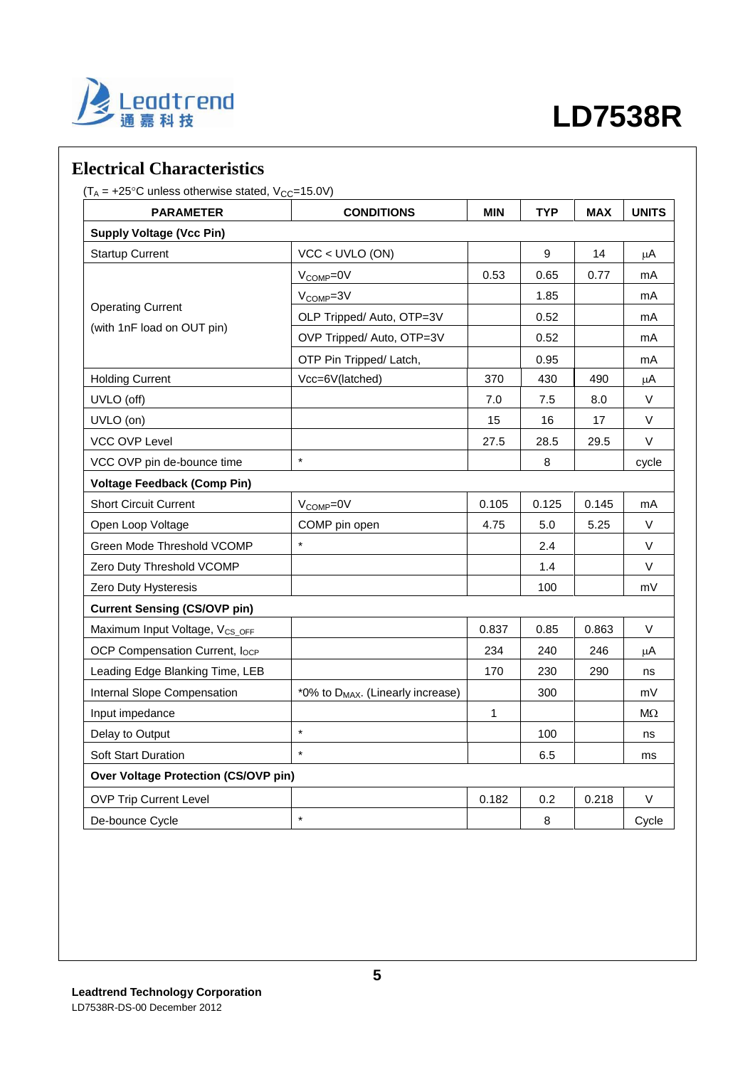

### **Electrical Characteristics**

 $(T_A = +25^{\circ}C$  unless otherwise stated,  $V_{CC} = 15.0V$ )

| <b>PARAMETER</b>                           | <b>CONDITIONS</b>                             | <b>MIN</b> | <b>TYP</b> | <b>MAX</b> | <b>UNITS</b> |
|--------------------------------------------|-----------------------------------------------|------------|------------|------------|--------------|
| <b>Supply Voltage (Vcc Pin)</b>            |                                               |            |            |            |              |
| <b>Startup Current</b>                     | $VCC < UVLO$ (ON)                             |            | 9          | 14         | μA           |
|                                            | $V_{\text{COMP}} = 0V$                        | 0.53       | 0.65       | 0.77       | mA           |
|                                            | $V_{COMP} = 3V$                               |            | 1.85       |            | mA           |
| <b>Operating Current</b>                   | OLP Tripped/ Auto, OTP=3V                     |            | 0.52       |            | mA           |
| (with 1nF load on OUT pin)                 | OVP Tripped/ Auto, OTP=3V                     |            | 0.52       |            | mA           |
|                                            | OTP Pin Tripped/ Latch,                       |            | 0.95       |            | mA           |
| <b>Holding Current</b>                     | Vcc=6V(latched)                               | 370        | 430        | 490        | μA           |
| UVLO (off)                                 |                                               | 7.0        | 7.5        | 8.0        | $\vee$       |
| UVLO (on)                                  |                                               | 15         | 16         | 17         | V            |
| <b>VCC OVP Level</b>                       |                                               | 27.5       | 28.5       | 29.5       | $\vee$       |
| VCC OVP pin de-bounce time                 | $\star$                                       |            | 8          |            | cycle        |
| <b>Voltage Feedback (Comp Pin)</b>         |                                               |            |            |            |              |
| <b>Short Circuit Current</b>               | V <sub>COMP</sub> =0V                         | 0.105      | 0.125      | 0.145      | mA           |
| Open Loop Voltage                          | COMP pin open                                 | 4.75       | 5.0        | 5.25       | V            |
| Green Mode Threshold VCOMP                 | $\star$                                       |            | 2.4        |            | V            |
| Zero Duty Threshold VCOMP                  |                                               |            | 1.4        |            | V            |
| Zero Duty Hysteresis                       |                                               |            | 100        |            | mV           |
| <b>Current Sensing (CS/OVP pin)</b>        |                                               |            |            |            |              |
| Maximum Input Voltage, V <sub>CS_OFF</sub> |                                               | 0.837      | 0.85       | 0.863      | V            |
| OCP Compensation Current, locp             |                                               | 234        | 240        | 246        | μA           |
| Leading Edge Blanking Time, LEB            |                                               | 170        | 230        | 290        | ns           |
| Internal Slope Compensation                | *0% to D <sub>MAX</sub> . (Linearly increase) |            | 300        |            | mV           |
| Input impedance                            |                                               | 1          |            |            | $M\Omega$    |
| Delay to Output                            | $\star$                                       |            | 100        |            | ns           |
| <b>Soft Start Duration</b>                 | $\star$                                       |            | 6.5        |            | ms           |
| Over Voltage Protection (CS/OVP pin)       |                                               |            |            |            |              |
| <b>OVP Trip Current Level</b>              |                                               | 0.182      | 0.2        | 0.218      | V            |
| De-bounce Cycle                            | $\star$                                       |            | 8          |            | Cycle        |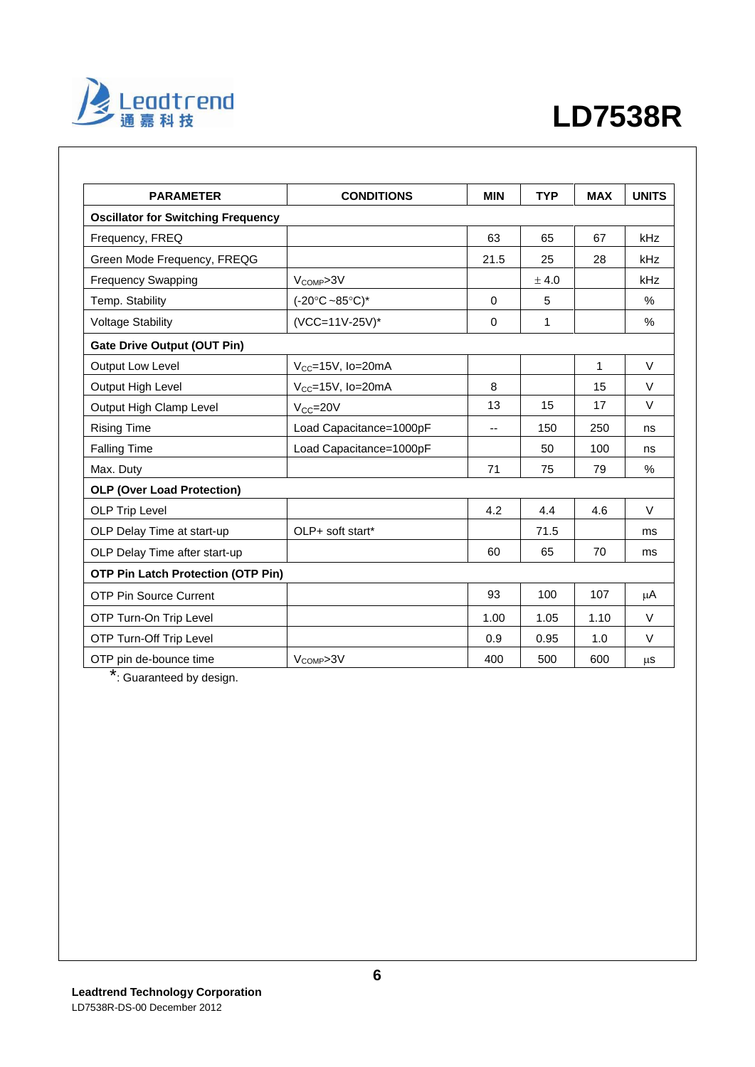

| <b>PARAMETER</b>                          | <b>CONDITIONS</b>                  | <b>MIN</b> | <b>TYP</b> | <b>MAX</b> | <b>UNITS</b> |
|-------------------------------------------|------------------------------------|------------|------------|------------|--------------|
| <b>Oscillator for Switching Frequency</b> |                                    |            |            |            |              |
| Frequency, FREQ                           |                                    | 63         | 65         | 67         | kHz          |
| Green Mode Frequency, FREQG               |                                    | 21.5       | 25         | 28         | kHz          |
| <b>Frequency Swapping</b>                 | $V_{COMP} > 3V$                    |            | ± 4.0      |            | kHz          |
| Temp. Stability                           | $(-20^{\circ}C - 85^{\circ}C)^{*}$ | $\Omega$   | 5          |            | $\%$         |
| <b>Voltage Stability</b>                  | (VCC=11V-25V)*                     | $\Omega$   | 1          |            | $\%$         |
| <b>Gate Drive Output (OUT Pin)</b>        |                                    |            |            |            |              |
| Output Low Level                          | $V_{CC}$ =15V, lo=20mA             |            |            | 1          | $\vee$       |
| Output High Level                         | $V_{CC}$ =15V, lo=20mA             | 8          |            | 15         | $\vee$       |
| Output High Clamp Level                   | $V_{CC} = 20V$                     | 13         | 15         | 17         | $\vee$       |
| <b>Rising Time</b>                        | Load Capacitance=1000pF            | --         | 150        | 250        | ns           |
| <b>Falling Time</b>                       | Load Capacitance=1000pF            |            | 50         | 100        | ns           |
| Max. Duty                                 |                                    | 71         | 75         | 79         | $\%$         |
| <b>OLP (Over Load Protection)</b>         |                                    |            |            |            |              |
| <b>OLP Trip Level</b>                     |                                    | 4.2        | 4.4        | 4.6        | $\vee$       |
| OLP Delay Time at start-up                | OLP+ soft start*                   |            | 71.5       |            | ms           |
| OLP Delay Time after start-up             |                                    | 60         | 65         | 70         | ms           |
| <b>OTP Pin Latch Protection (OTP Pin)</b> |                                    |            |            |            |              |
| <b>OTP Pin Source Current</b>             |                                    | 93         | 100        | 107        | μA           |
| OTP Turn-On Trip Level                    |                                    | 1.00       | 1.05       | 1.10       | $\vee$       |
| OTP Turn-Off Trip Level                   |                                    | 0.9        | 0.95       | 1.0        | $\vee$       |
| OTP pin de-bounce time                    | V <sub>COMP</sub> >3V              | 400        | 500        | 600        | μS           |

\*: Guaranteed by design.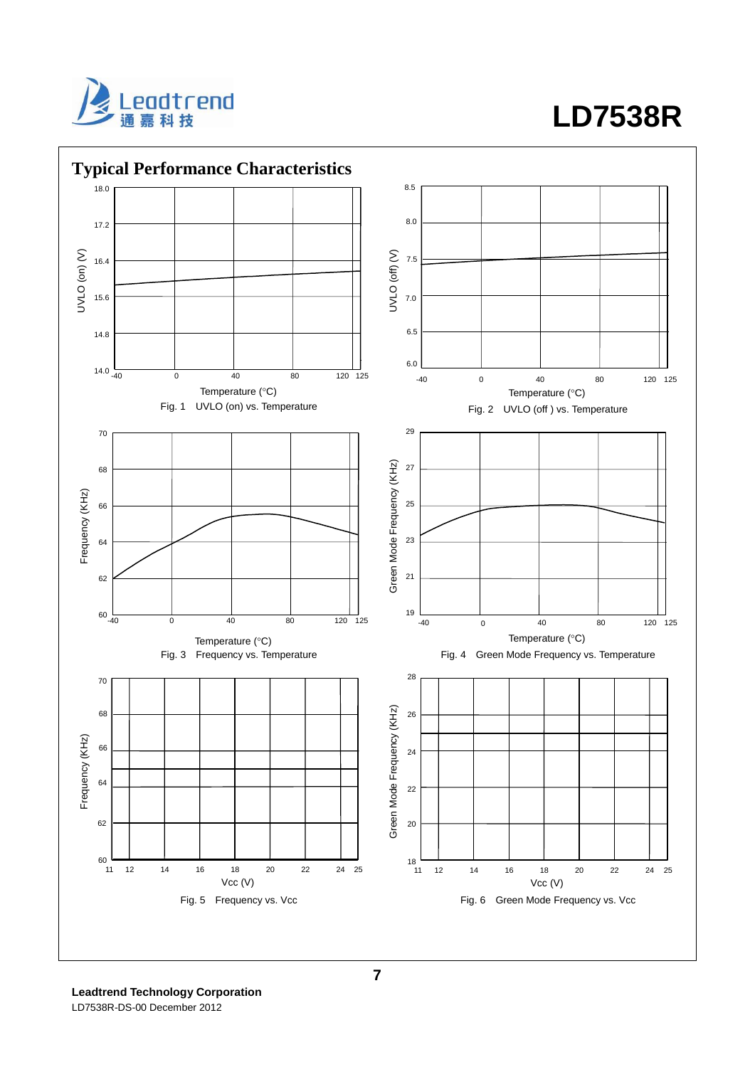



**Leadtrend Technology Corporation**  LD7538R-DS-00 December 2012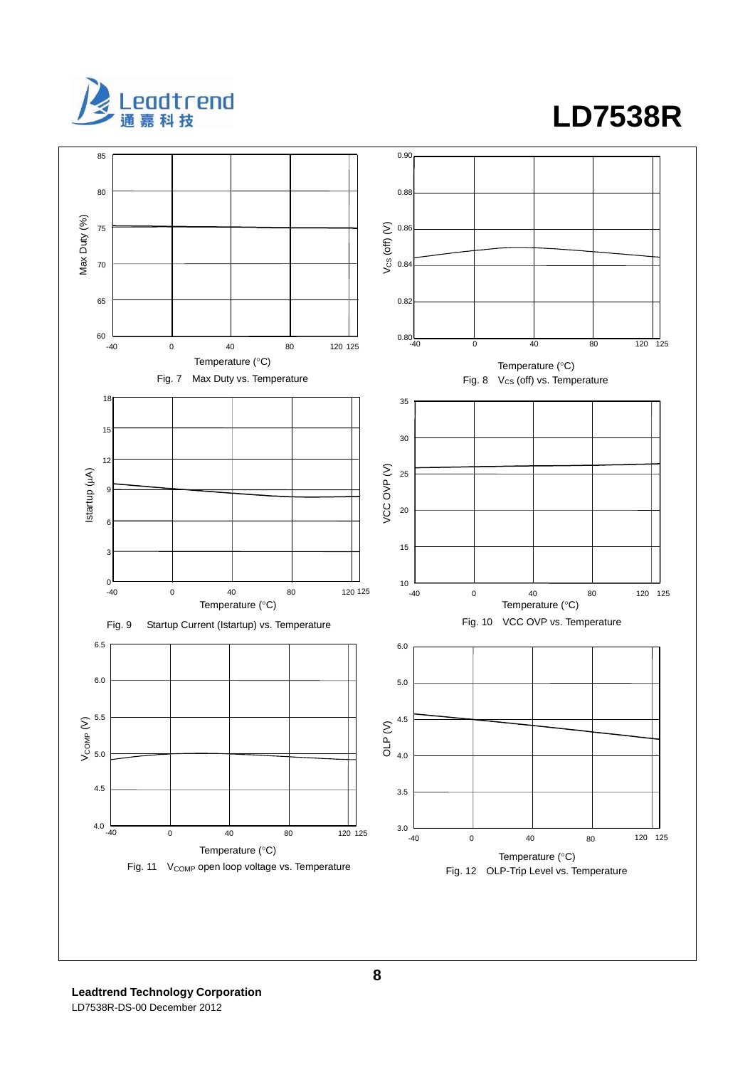

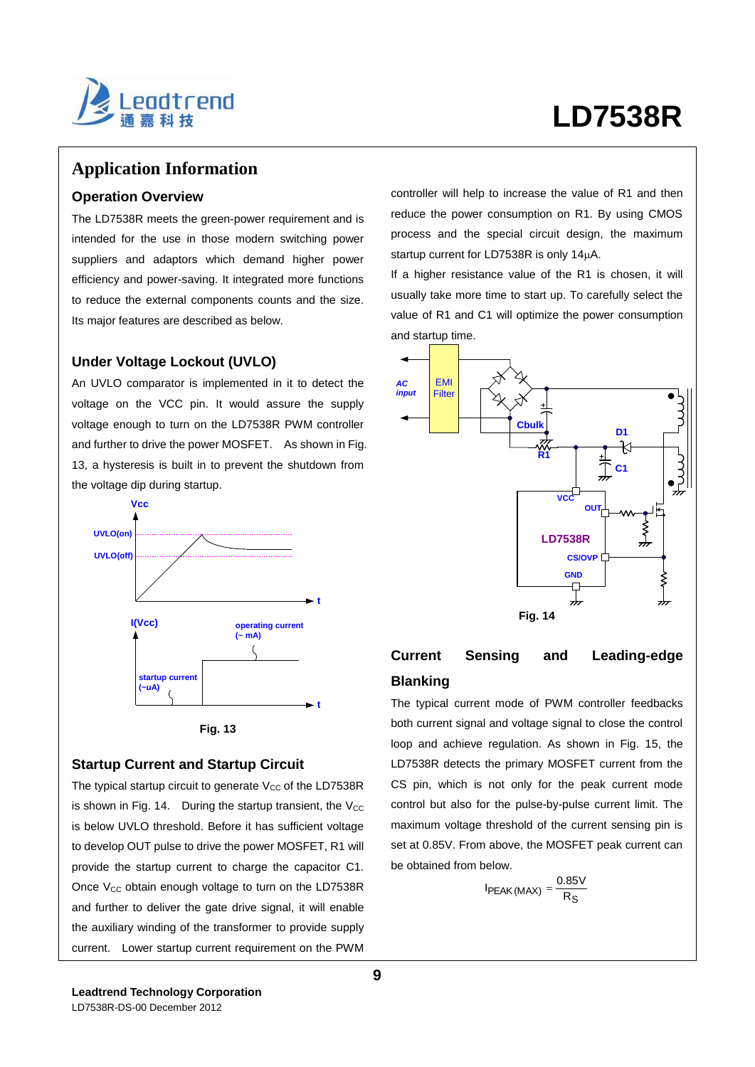

#### **Application Information**

#### **Operation Overview**

The LD7538R meets the green-power requirement and is intended for the use in those modern switching power suppliers and adaptors which demand higher power efficiency and power-saving. It integrated more functions to reduce the external components counts and the size. Its major features are described as below.

#### **Under Voltage Lockout (UVLO)**

An UVLO comparator is implemented in it to detect the voltage on the VCC pin. It would assure the supply voltage enough to turn on the LD7538R PWM controller and further to drive the power MOSFET. As shown in Fig. 13, a hysteresis is built in to prevent the shutdown from the voltage dip during startup.





#### **Startup Current and Startup Circuit**

The typical startup circuit to generate  $V_{CC}$  of the LD7538R is shown in Fig. 14. During the startup transient, the  $V_{CC}$ is below UVLO threshold. Before it has sufficient voltage to develop OUT pulse to drive the power MOSFET, R1 will provide the startup current to charge the capacitor C1. Once  $V_{CC}$  obtain enough voltage to turn on the LD7538R and further to deliver the gate drive signal, it will enable the auxiliary winding of the transformer to provide supply current. Lower startup current requirement on the PWM controller will help to increase the value of R1 and then reduce the power consumption on R1. By using CMOS process and the special circuit design, the maximum startup current for LD7538R is only  $14\mu$ A.

If a higher resistance value of the R1 is chosen, it will usually take more time to start up. To carefully select the value of R1 and C1 will optimize the power consumption and startup time.



#### **Current Sensing and Leading-edge Blanking**

The typical current mode of PWM controller feedbacks both current signal and voltage signal to close the control loop and achieve regulation. As shown in Fig. 15, the LD7538R detects the primary MOSFET current from the CS pin, which is not only for the peak current mode control but also for the pulse-by-pulse current limit. The maximum voltage threshold of the current sensing pin is set at 0.85V. From above, the MOSFET peak current can be obtained from below.

$$
I_{PEAK(MAX)} = \frac{0.85V}{R_S}
$$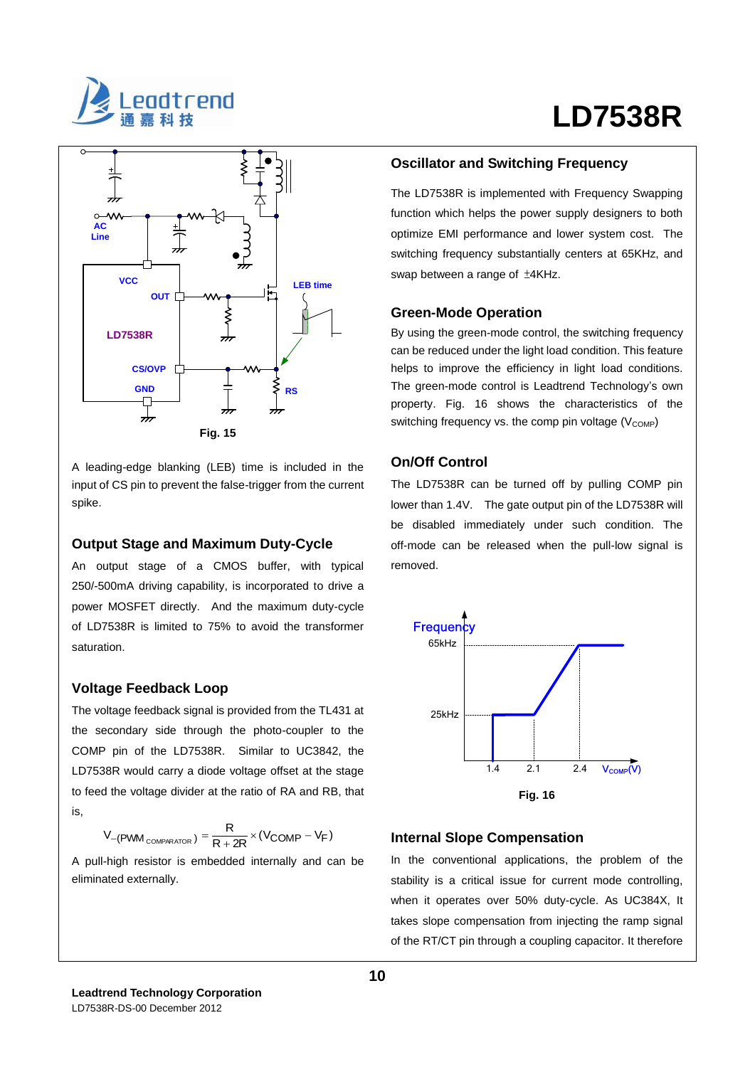

# **LD7538R**



A leading-edge blanking (LEB) time is included in the input of CS pin to prevent the false-trigger from the current spike.

#### **Output Stage and Maximum Duty-Cycle**

An output stage of a CMOS buffer, with typical 250/-500mA driving capability, is incorporated to drive a power MOSFET directly. And the maximum duty-cycle of LD7538R is limited to 75% to avoid the transformer saturation.

#### **Voltage Feedback Loop**

The voltage feedback signal is provided from the TL431 at the secondary side through the photo-coupler to the COMP pin of the LD7538R. Similar to UC3842, the LD7538R would carry a diode voltage offset at the stage to feed the voltage divider at the ratio of RA and RB, that is,

$$
V_{-(PWM_{COMPARATOR})} = \frac{R}{R + 2R} \times (V_{COMP} - V_F)
$$

A pull-high resistor is embedded internally and can be eliminated externally.

#### **Oscillator and Switching Frequency**

The LD7538R is implemented with Frequency Swapping function which helps the power supply designers to both optimize EMI performance and lower system cost. The switching frequency substantially centers at 65KHz, and swap between a range of ±4KHz.

#### **Green-Mode Operation**

By using the green-mode control, the switching frequency can be reduced under the light load condition. This feature helps to improve the efficiency in light load conditions. The green-mode control is Leadtrend Technology's own property. Fig. 16 shows the characteristics of the switching frequency vs. the comp pin voltage  $(V_{\text{COMP}})$ 

#### **On/Off Control**

The LD7538R can be turned off by pulling COMP pin lower than 1.4V. The gate output pin of the LD7538R will be disabled immediately under such condition. The off-mode can be released when the pull-low signal is removed.



#### **Internal Slope Compensation**

In the conventional applications, the problem of the stability is a critical issue for current mode controlling, when it operates over 50% duty-cycle. As UC384X, It takes slope compensation from injecting the ramp signal of the RT/CT pin through a coupling capacitor. It therefore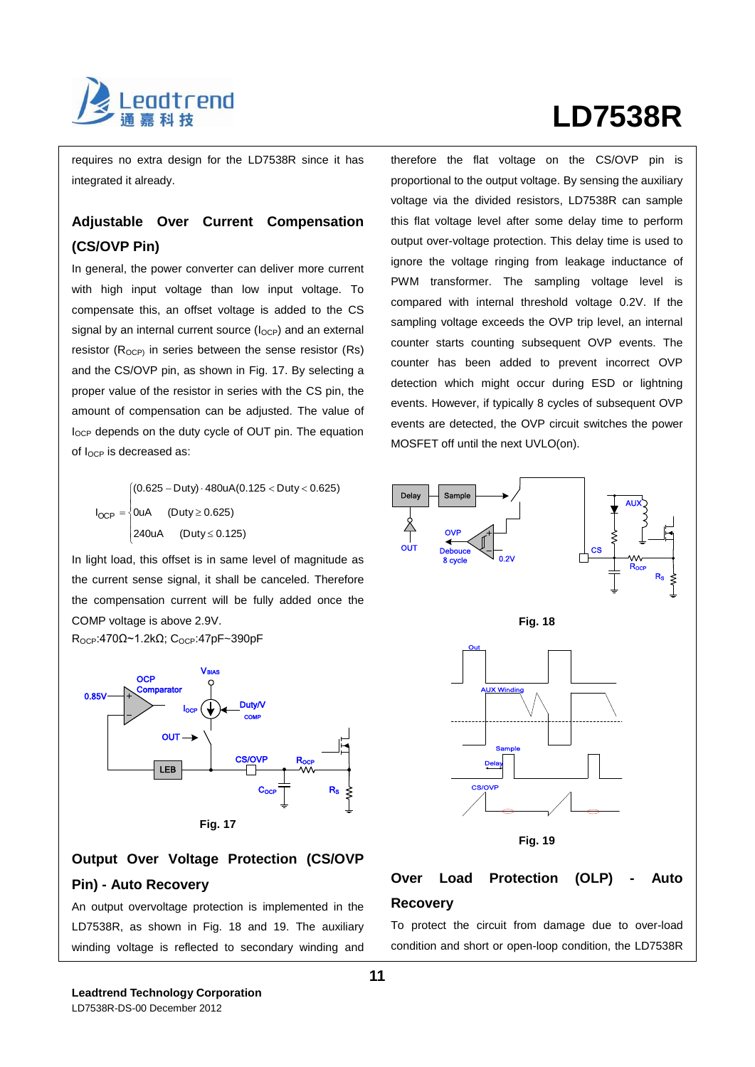

# **LD7538R**

requires no extra design for the LD7538R since it has integrated it already.

### **Adjustable Over Current Compensation (CS/OVP Pin)**

In general, the power converter can deliver more current with high input voltage than low input voltage. To compensate this, an offset voltage is added to the CS signal by an internal current source  $(I<sub>OCP</sub>)$  and an external resistor  $(R_{OCP})$  in series between the sense resistor  $(Rs)$ and the CS/OVP pin, as shown in Fig. 17. By selecting a proper value of the resistor in series with the CS pin, the amount of compensation can be adjusted. The value of locp depends on the duty cycle of OUT pin. The equation of  $I_{OCP}$  is decreased as:

 $\overline{\phantom{a}}$  $\mathfrak{r}$  $I_{OCP} = \begin{cases} 0 \text{uA} & \text{(Duty} \geq 0.625) \end{cases}$  $\overline{\phantom{a}}$  $(0.625 - Duty) \cdot 480uA(0.125 < Duty < 0.625)$ 240uA (Duty ≤ 0.125)

In light load, this offset is in same level of magnitude as the current sense signal, it shall be canceled. Therefore the compensation current will be fully added once the COMP voltage is above 2.9V.

ROCP:470Ω~1.2kΩ; COCP:47pF~390pF



### **Output Over Voltage Protection (CS/OVP Pin) - Auto Recovery**

An output overvoltage protection is implemented in the LD7538R, as shown in Fig. 18 and 19. The auxiliary winding voltage is reflected to secondary winding and therefore the flat voltage on the CS/OVP pin is proportional to the output voltage. By sensing the auxiliary voltage via the divided resistors, LD7538R can sample this flat voltage level after some delay time to perform output over-voltage protection. This delay time is used to ignore the voltage ringing from leakage inductance of PWM transformer. The sampling voltage level is compared with internal threshold voltage 0.2V. If the sampling voltage exceeds the OVP trip level, an internal counter starts counting subsequent OVP events. The counter has been added to prevent incorrect OVP detection which might occur during ESD or lightning events. However, if typically 8 cycles of subsequent OVP events are detected, the OVP circuit switches the power MOSFET off until the next UVLO(on).



#### **Over Load Protection (OLP) - Auto Recovery**

To protect the circuit from damage due to over-load condition and short or open-loop condition, the LD7538R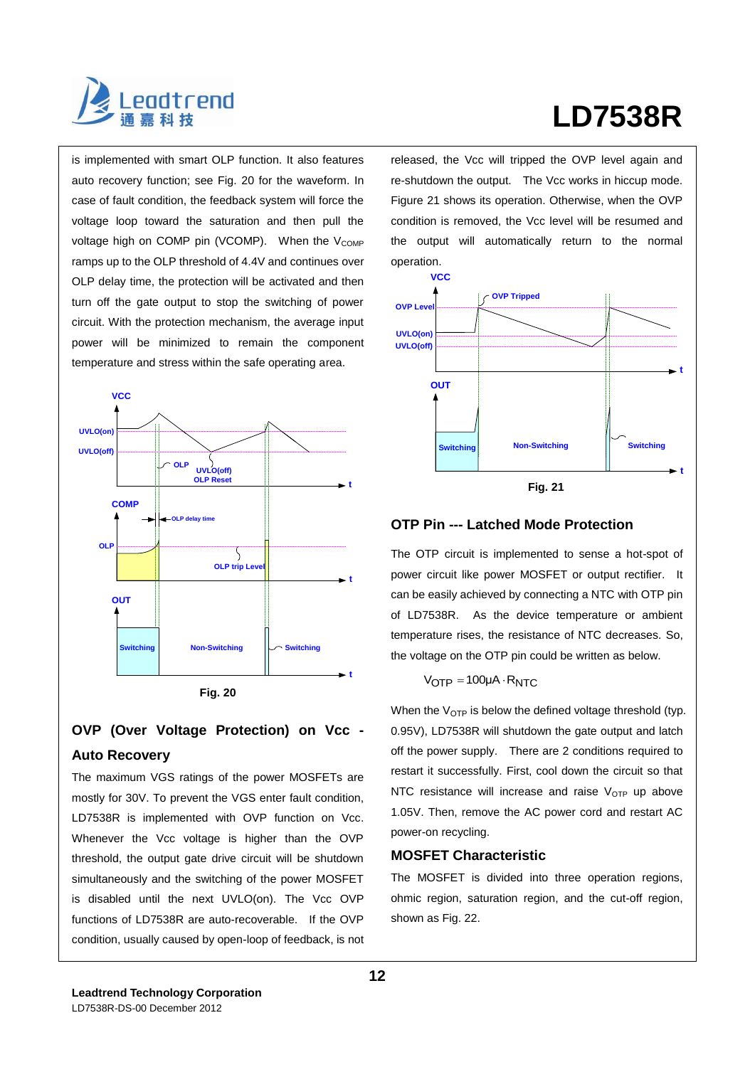

# **LD7538R**

is implemented with smart OLP function. It also features auto recovery function; see Fig. 20 for the waveform. In case of fault condition, the feedback system will force the voltage loop toward the saturation and then pull the voltage high on COMP pin (VCOMP). When the V<sub>COMP</sub> ramps up to the OLP threshold of 4.4V and continues over OLP delay time, the protection will be activated and then turn off the gate output to stop the switching of power circuit. With the protection mechanism, the average input power will be minimized to remain the component temperature and stress within the safe operating area.



### **OVP (Over Voltage Protection) on Vcc - Auto Recovery**

The maximum VGS ratings of the power MOSFETs are mostly for 30V. To prevent the VGS enter fault condition, LD7538R is implemented with OVP function on Vcc. Whenever the Vcc voltage is higher than the OVP threshold, the output gate drive circuit will be shutdown simultaneously and the switching of the power MOSFET is disabled until the next UVLO(on). The Vcc OVP functions of LD7538R are auto-recoverable. If the OVP condition, usually caused by open-loop of feedback, is not released, the Vcc will tripped the OVP level again and re-shutdown the output. The Vcc works in hiccup mode. Figure 21 shows its operation. Otherwise, when the OVP condition is removed, the Vcc level will be resumed and the output will automatically return to the normal operation.



#### **OTP Pin --- Latched Mode Protection**

The OTP circuit is implemented to sense a hot-spot of power circuit like power MOSFET or output rectifier. It can be easily achieved by connecting a NTC with OTP pin of LD7538R. As the device temperature or ambient temperature rises, the resistance of NTC decreases. So, the voltage on the OTP pin could be written as below.

#### $V_{\text{OTP}} = 100 \mu\text{A} \cdot \text{R}_{\text{NTC}}$

When the  $V_{\text{OTP}}$  is below the defined voltage threshold (typ. 0.95V), LD7538R will shutdown the gate output and latch off the power supply. There are 2 conditions required to restart it successfully. First, cool down the circuit so that NTC resistance will increase and raise  $V_{\text{OTP}}$  up above 1.05V. Then, remove the AC power cord and restart AC power-on recycling.

#### **MOSFET Characteristic**

The MOSFET is divided into three operation regions, ohmic region, saturation region, and the cut-off region, shown as Fig. 22.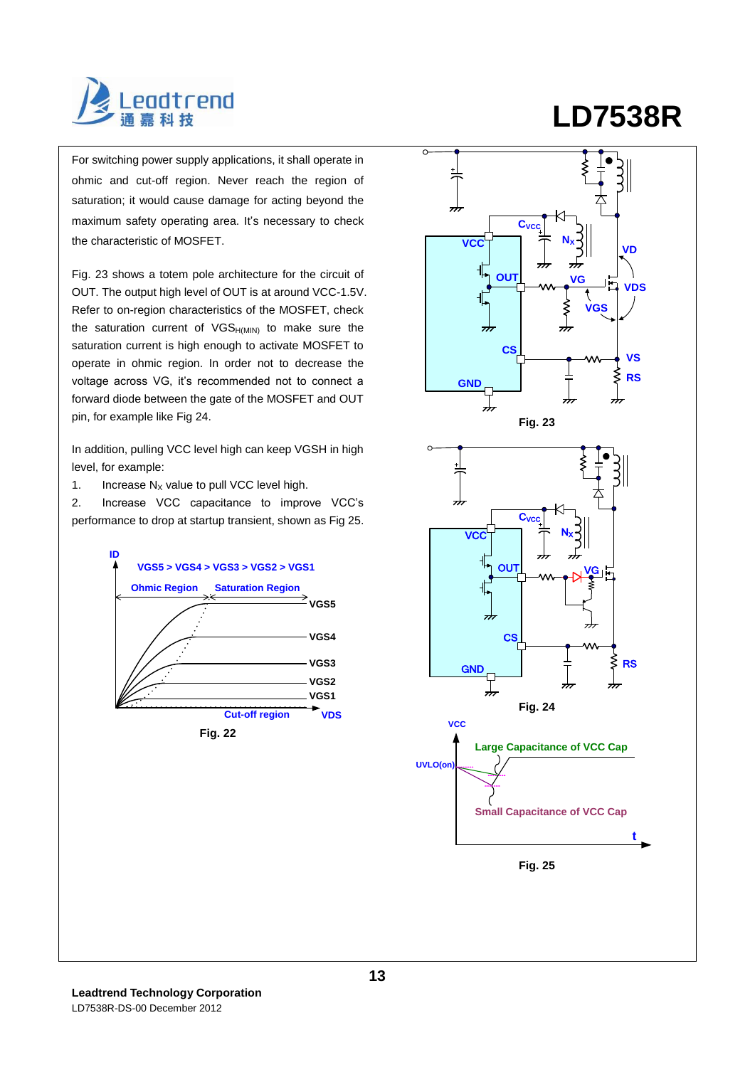

For switching power supply applications, it shall operate in ohmic and cut-off region. Never reach the region of saturation; it would cause damage for acting beyond the maximum safety operating area. It's necessary to check the characteristic of MOSFET.

Fig. 23 shows a totem pole architecture for the circuit of OUT. The output high level of OUT is at around VCC-1.5V. Refer to on-region characteristics of the MOSFET, check the saturation current of  $VGS_{H(MIN)}$  to make sure the saturation current is high enough to activate MOSFET to operate in ohmic region. In order not to decrease the voltage across VG, it's recommended not to connect a forward diode between the gate of the MOSFET and OUT pin, for example like Fig 24.

In addition, pulling VCC level high can keep VGSH in high level, for example:

1. Increase  $N_X$  value to pull VCC level high.

2. Increase VCC capacitance to improve VCC's performance to drop at startup transient, shown as Fig 25.



# **LD7538R**

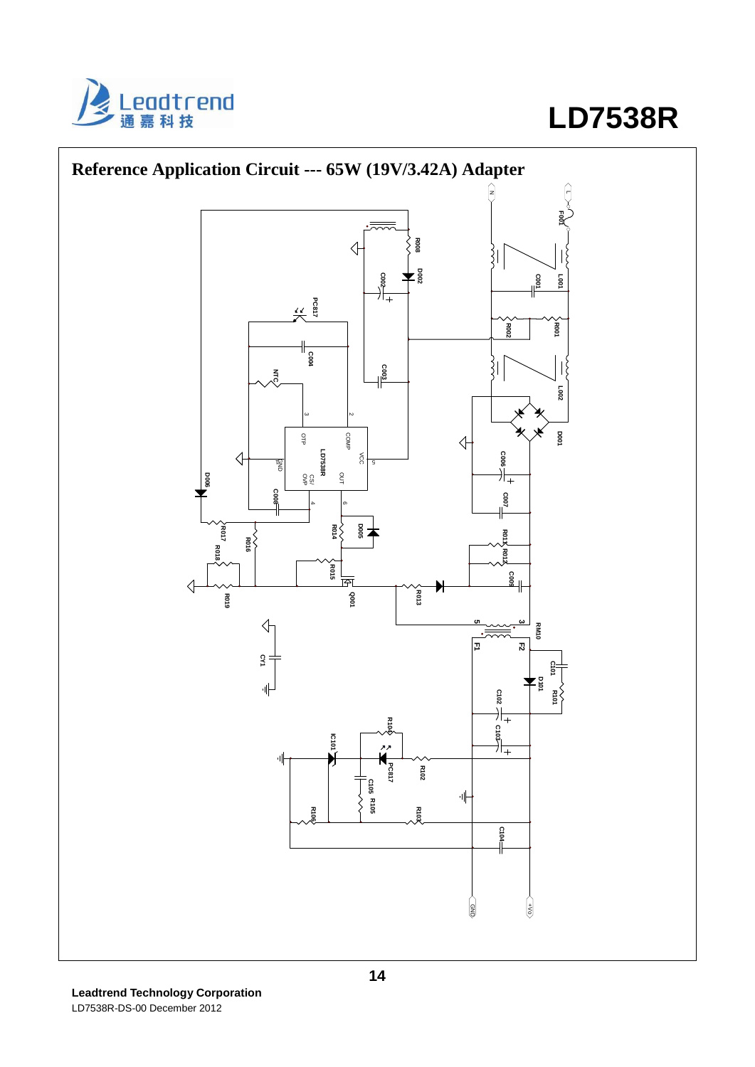



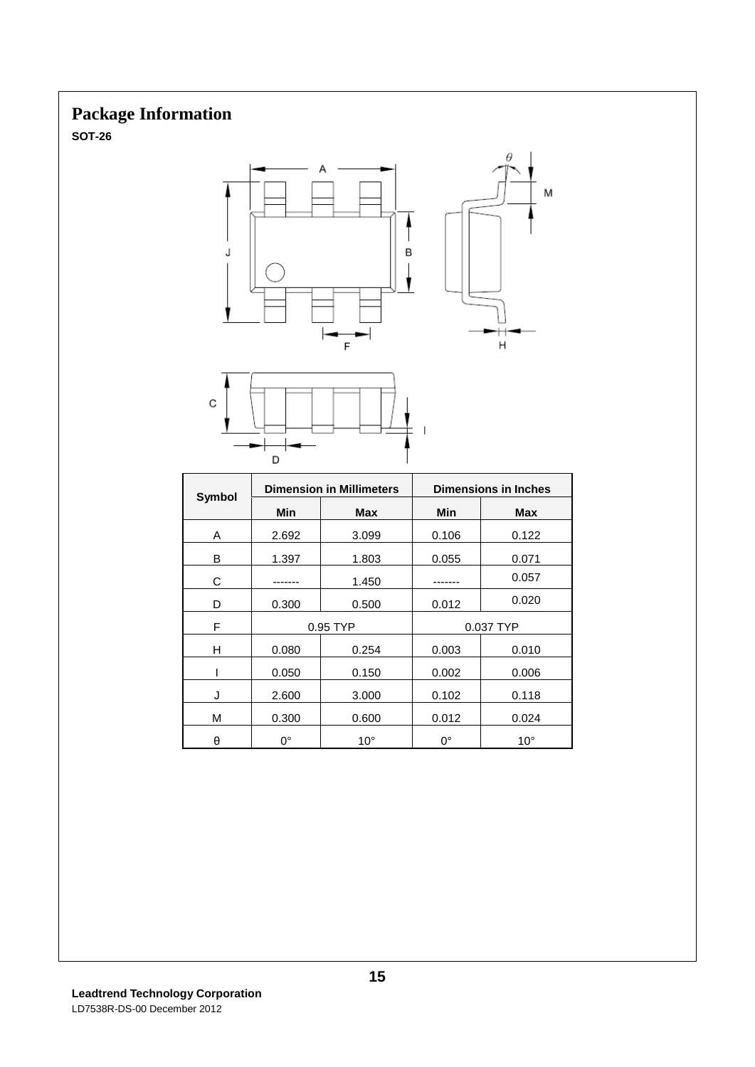## **Package Information**

**SOT-26**





|        | <b>Dimension in Millimeters</b> |              | <b>Dimensions in Inches</b> |              |  |
|--------|---------------------------------|--------------|-----------------------------|--------------|--|
| Symbol | Min                             | <b>Max</b>   | Min                         | <b>Max</b>   |  |
| A      | 2.692                           | 3.099        | 0.106                       | 0.122        |  |
| В      | 1.397                           | 1.803        | 0.055                       | 0.071        |  |
| C      |                                 | 1.450        |                             | 0.057        |  |
| D      | 0.300                           | 0.500        | 0.012                       | 0.020        |  |
| F      | 0.95 TYP                        |              | 0.037 TYP                   |              |  |
| н      | 0.080                           | 0.254        | 0.003                       | 0.010        |  |
|        | 0.050                           | 0.150        | 0.002                       | 0.006        |  |
| J      | 2.600                           | 3.000        | 0.102                       | 0.118        |  |
| M      | 0.300                           | 0.600        | 0.012                       | 0.024        |  |
| θ      | $0^{\circ}$                     | $10^{\circ}$ | 0°                          | $10^{\circ}$ |  |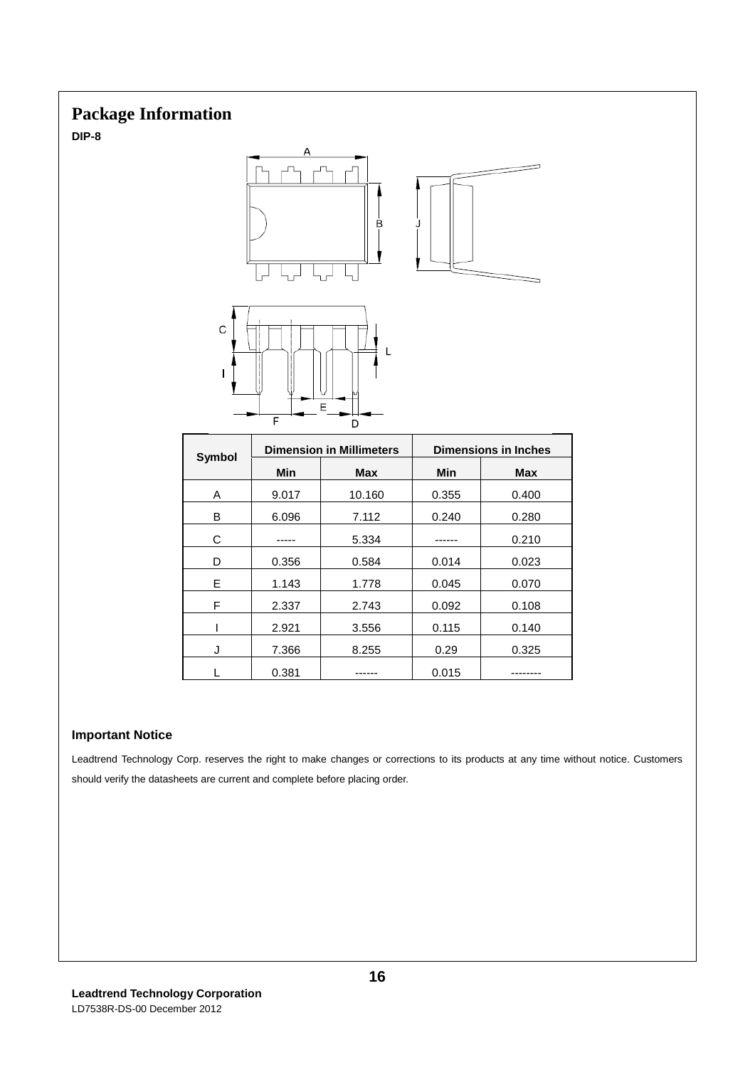## **Package Information**

**DIP-8**



# **Important Notice**

Leadtrend Technology Corp. reserves the right to make changes or corrections to its products at any time without notice. Customers should verify the datasheets are current and complete before placing order.

E | 1.143 | 1.778 | 0.045 | 0.070 F | 2.337 | 2.743 | 0.092 | 0.108  $1 \quad | \quad 2.921 \quad | \quad 3.556 \quad | \quad 0.115 \quad | \quad 0.140$ J 7.366 8.255 0.29 0.325 L | 0.381 | ------ | 0.015 | --------